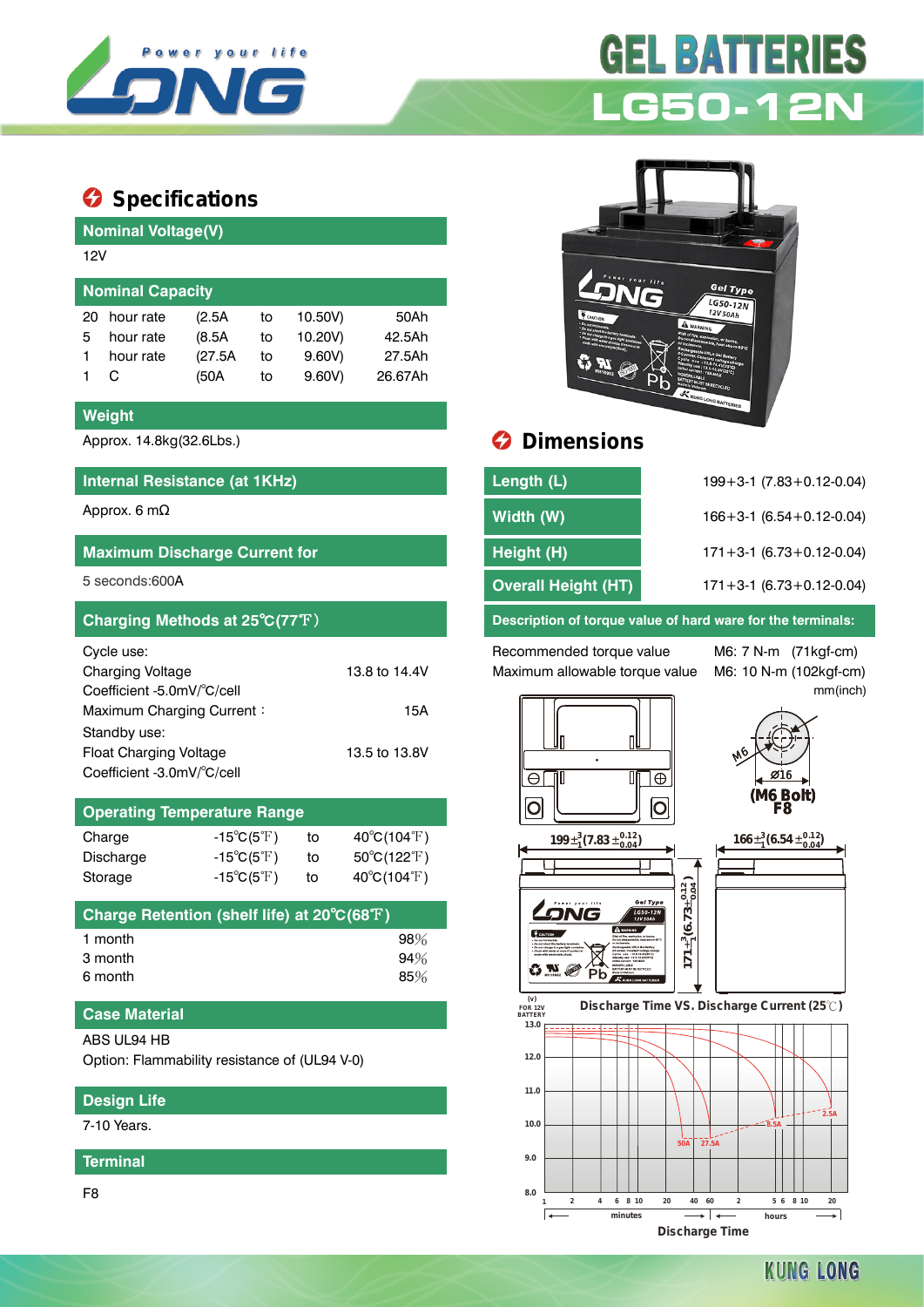

# **Specifications**

| <b>Nominal Voltage(V)</b> |           |         |    |         |         |  |  |  |
|---------------------------|-----------|---------|----|---------|---------|--|--|--|
| 12V                       |           |         |    |         |         |  |  |  |
|                           |           |         |    |         |         |  |  |  |
| <b>Nominal Capacity</b>   |           |         |    |         |         |  |  |  |
| 20                        | hour rate | (2.5A   | to | 10.50V) | 50Ah    |  |  |  |
| 5                         | hour rate | (8.5A)  | to | 10.20V) | 42.5Ah  |  |  |  |
|                           | hour rate | (27.5A) | to | 9.60V   | 27.5Ah  |  |  |  |
|                           |           | (50A    | to | 9.60V   | 26.67Ah |  |  |  |

#### **Weight**

#### **Internal Resistance (at 1KHz)**

## **Maximum Discharge Current for**

| Cycle use:                    |               |
|-------------------------------|---------------|
| <b>Charging Voltage</b>       | 13.8 to 14.4V |
| Coefficient -5.0mV/°C/cell    |               |
| Maximum Charging Current:     | 15A           |
| Standby use:                  |               |
| <b>Float Charging Voltage</b> | 13.5 to 13.8V |
| Coefficient -3.0mV/°C/cell    |               |

## **Operating Temperature Range**

| $-15^{\circ}C(5^{\circ}F)$ | to | $40^{\circ}C(104^{\circ}F)$      |
|----------------------------|----|----------------------------------|
| $-15^{\circ}C(5^{\circ}F)$ | to | $50^{\circ}$ C(122 $^{\circ}$ F) |
| $-15^{\circ}C(5^{\circ}F)$ | to | $40^{\circ}$ C(104 $^{\circ}$ F) |
|                            |    |                                  |

| Charge Retention (shelf life) at 20°C(68°F) |        |
|---------------------------------------------|--------|
| 1 month                                     | $98\%$ |
| 3 month                                     | 94%    |
| 6 month                                     | 85%    |

### **Case Material**

#### ABS UL94 HB

Option: Flammability resistance of (UL94 V-0)

## **Design Life**

7-10 Years.

**Terminal**

F8



**GEL BATTERIES** 



# Approx. 14.8kg(32.6Lbs.) **Dimensions**

| Internal Resistance (at 1KHz)        | Length (L)                 | $199 + 3 - 1$ (7.83 + 0.12 - 0.04) |
|--------------------------------------|----------------------------|------------------------------------|
| Approx. 6 mΩ                         | Width (W)                  | $166 + 3 - 1$ (6.54 + 0.12 - 0.04) |
| <b>Maximum Discharge Current for</b> | Height (H)                 | $171 + 3 - 1$ (6.73 + 0.12 - 0.04) |
| 5 seconds:600A                       | <b>Overall Height (HT)</b> | $171 + 3 - 1$ (6.73 + 0.12 - 0.04) |

**Charging Methods at 25**℃**(77**℉) **Description of torque value of hard ware for the terminals:**

Recommended torque value M6: 7 N-m (71kgf-cm) Maximum allowable torque value M6: 10 N-m (102kgf-cm)

mm(inch)



**KUNG LONG**